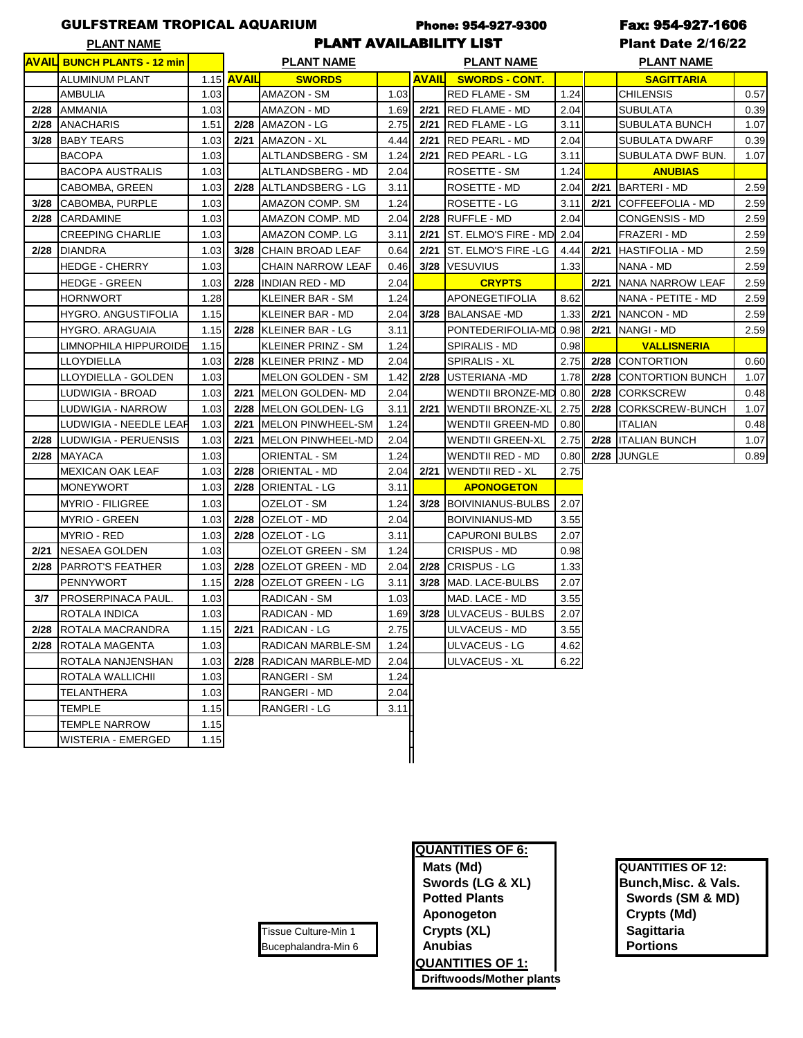## GULFSTREAM TROPICAL AQUARIUM Phone: 954-927-9300 Fax: 954-927-1606

PLANT NAME **The Contract PLANT AVAILABILITY LIST Plant Date 2/16/22** 

|      | <u> AVAILI BUNCH PLANTS - 12 min</u> |      | <b>PLANT NAME</b> |                           |        | <b>PLANT NAME</b> |                           |      | <u>PLANT NAME</u> |                         |      |  |
|------|--------------------------------------|------|-------------------|---------------------------|--------|-------------------|---------------------------|------|-------------------|-------------------------|------|--|
|      | <b>ALUMINUM PLANT</b>                |      | 1.15 <b>AVAIL</b> | <b>SWORDS</b>             |        | <b>AVAILL</b>     | <b>SWORDS - CONT.</b>     |      |                   | <b>SAGITTARIA</b>       |      |  |
|      | AMBULIA                              | 1.03 |                   | <b>AMAZON - SM</b>        | 1.03   |                   | <b>RED FLAME - SM</b>     | 1.24 |                   | <b>CHILENSIS</b>        | 0.57 |  |
| 2/28 | <b>AMMANIA</b>                       | 1.03 |                   | AMAZON - MD               | 1.69   |                   | 2/21 RED FLAME - MD       | 2.04 |                   | <b>SUBULATA</b>         | 0.39 |  |
| 2/28 | <b>ANACHARIS</b>                     | 1.51 | 2/28              | AMAZON - LG               | 2.75   |                   | 2/21 RED FLAME - LG       | 3.11 |                   | <b>SUBULATA BUNCH</b>   | 1.07 |  |
| 3/28 | <b>BABY TEARS</b>                    | 1.03 | 2/21              | AMAZON - XL               | 4.44   | 2/21              | <b>RED PEARL - MD</b>     | 2.04 |                   | <b>SUBULATA DWARF</b>   | 0.39 |  |
|      | <b>BACOPA</b>                        | 1.03 |                   | ALTLANDSBERG - SM         | 1.24   | 2/21              | <b>RED PEARL - LG</b>     | 3.11 |                   | SUBULATA DWF BUN.       | 1.07 |  |
|      | <b>BACOPA AUSTRALIS</b>              | 1.03 |                   | ALTLANDSBERG - MD         | 2.04   |                   | ROSETTE - SM              | 1.24 |                   | <b>ANUBIAS</b>          |      |  |
|      | CABOMBA, GREEN                       | 1.03 | 2/28              | ALTLANDSBERG - LG         | 3.11   |                   | ROSETTE - MD              | 2.04 | 2/21              | <b>BARTERI - MD</b>     | 2.59 |  |
| 3/28 | CABOMBA, PURPLE                      | 1.03 |                   | AMAZON COMP. SM           | 1.24   |                   | ROSETTE - LG              | 3.11 | 2/21              | <b>COFFEEFOLIA - MD</b> | 2.59 |  |
| 2/28 | <b>CARDAMINE</b>                     | 1.03 |                   | AMAZON COMP. MD           | 2.04   |                   | 2/28 RUFFLE - MD          | 2.04 |                   | <b>CONGENSIS - MD</b>   | 2.59 |  |
|      | <b>CREEPING CHARLIE</b>              | 1.03 |                   | AMAZON COMP. LG           | 3.11   | 2/21              | ST. ELMO'S FIRE - MD 2.04 |      |                   | <b>FRAZERI - MD</b>     | 2.59 |  |
| 2/28 | <b>DIANDRA</b>                       | 1.03 | 3/28              | <b>CHAIN BROAD LEAF</b>   | 0.64   |                   | 2/21 ST. ELMO'S FIRE -LG  | 4.44 | 2/21              | <b>HASTIFOLIA - MD</b>  | 2.59 |  |
|      | HEDGE - CHERRY                       | 1.03 |                   | <b>CHAIN NARROW LEAF</b>  | 0.46   | 3/28              | <b>VESUVIUS</b>           | 1.33 |                   | NANA - MD               | 2.59 |  |
|      | <b>HEDGE - GREEN</b>                 | 1.03 |                   | 2/28 INDIAN RED - MD      | 2.04   |                   | <b>CRYPTS</b>             |      | 2/21              | NANA NARROW LEAF        | 2.59 |  |
|      | <b>HORNWORT</b>                      | 1.28 |                   | KLEINER BAR - SM          | 1.24   |                   | <b>APONEGETIFOLIA</b>     | 8.62 |                   | NANA - PETITE - MD      | 2.59 |  |
|      | <b>HYGRO. ANGUSTIFOLIA</b>           | 1.15 |                   | <b>KLEINER BAR - MD</b>   | 2.04   |                   | 3/28 BALANSAE - MD        | 1.33 | 2/21              | <b>NANCON - MD</b>      | 2.59 |  |
|      | <b>HYGRO. ARAGUAIA</b>               | 1.15 |                   | 2/28 KLEINER BAR - LG     | 3.11   |                   | PONTEDERIFOLIA-MD 0.98    |      | 2/21              | <b>NANGI - MD</b>       | 2.59 |  |
|      | LIMNOPHILA HIPPUROIDE                | 1.15 |                   | <b>KLEINER PRINZ - SM</b> | 1.24   |                   | <b>SPIRALIS - MD</b>      | 0.98 |                   | <b>VALLISNERIA</b>      |      |  |
|      | <b>LLOYDIELLA</b>                    | 1.03 |                   | 2/28 KLEINER PRINZ - MD   | 2.04   |                   | SPIRALIS - XL             | 2.75 |                   | 2/28 CONTORTION         | 0.60 |  |
|      | LLOYDIELLA - GOLDEN                  | 1.03 |                   | MELON GOLDEN - SM         | 1.42   |                   | 2/28 USTERIANA -MD        | 1.78 | 2/28              | <b>CONTORTION BUNCH</b> | 1.07 |  |
|      | LUDWIGIA - BROAD                     | 1.03 | 2/21              | <b>MELON GOLDEN- MD</b>   | 2.04   |                   | WENDTII BRONZE-MD 0.80    |      | 2/28              | <b>CORKSCREW</b>        | 0.48 |  |
|      | LUDWIGIA - NARROW                    | 1.03 | 2/28              | MELON GOLDEN-LG           | 3.11   |                   | 2/21 WENDTII BRONZE-XL    | 2.75 | 2/28              | <b>CORKSCREW-BUNCH</b>  | 1.07 |  |
|      | LUDWIGIA - NEEDLE LEAR               | 1.03 | 2/21              | <b>MELON PINWHEEL-SM</b>  | 1.24   |                   | <b>WENDTII GREEN-MD</b>   | 0.80 |                   | <b>ITALIAN</b>          | 0.48 |  |
| 2/28 | LUDWIGIA - PERUENSIS                 | 1.03 | 2/21              | MELON PINWHEEL-MD         | 2.04   |                   | <b>WENDTII GREEN-XL</b>   | 2.75 | 2/28              | <b>ITALIAN BUNCH</b>    | 1.07 |  |
| 2/28 | <b>MAYACA</b>                        | 1.03 |                   | <b>ORIENTAL - SM</b>      | 1.24   |                   | WENDTII RED - MD          | 0.80 |                   | 2/28 JUNGLE             | 0.89 |  |
|      | <b>MEXICAN OAK LEAF</b>              | 1.03 | 2/28              | <b>ORIENTAL - MD</b>      | 2.04   |                   | 2/21 WENDTII RED - XL     | 2.75 |                   |                         |      |  |
|      | <b>MONEYWORT</b>                     | 1.03 | 2/28              | ORIENTAL - LG             | 3.11   |                   | <b>APONOGETON</b>         |      |                   |                         |      |  |
|      | <b>MYRIO - FILIGREE</b>              | 1.03 |                   | OZELOT - SM               | 1.24   |                   | 3/28 BOIVINIANUS-BULBS    | 2.07 |                   |                         |      |  |
|      | <b>MYRIO - GREEN</b>                 | 1.03 | 2/28              | OZELOT - MD               | 2.04   |                   | BOIVINIANUS-MD            | 3.55 |                   |                         |      |  |
|      | <b>MYRIO - RED</b>                   | 1.03 | 2/28              | OZELOT - LG               | 3.11   |                   | <b>CAPURONI BULBS</b>     | 2.07 |                   |                         |      |  |
| 2/21 | <b>NESAEA GOLDEN</b>                 | 1.03 |                   | OZELOT GREEN - SM         | 1.24   |                   | CRISPUS - MD              | 0.98 |                   |                         |      |  |
| 2/28 | <b>PARROT'S FEATHER</b>              | 1.03 | 2/28              | OZELOT GREEN - MD         | 2.04   |                   | 2/28 CRISPUS - LG         | 1.33 |                   |                         |      |  |
|      | <b>PENNYWORT</b>                     | 1.15 | 2/28              | <b>OZELOT GREEN - LG</b>  | 3.11   |                   | 3/28 MAD. LACE-BULBS      | 2.07 |                   |                         |      |  |
| 3/7  | <b>PROSERPINACA PAUL.</b>            | 1.03 |                   | RADICAN - SM              | 1.03   |                   | MAD. LACE - MD            | 3.55 |                   |                         |      |  |
|      | <b>ROTALA INDICA</b>                 | 1.03 |                   | RADICAN - MD              | 1.69   |                   | 3/28 JULVACEUS - BULBS    | 2.07 |                   |                         |      |  |
|      | 2/28   ROTALA MACRANDRA              | 1.15 |                   | 2/21 RADICAN - LG         | 2.75   |                   | ULVACEUS - MD             | 3.55 |                   |                         |      |  |
|      | 2/28 ROTALA MAGENTA                  | 1.03 |                   | RADICAN MARBLE-SM         | $1.24$ |                   | <b>ULVACEUS - LG</b>      | 4.62 |                   |                         |      |  |
|      | ROTALA NANJENSHAN                    | 1.03 |                   | 2/28 RADICAN MARBLE-MD    | 2.04   |                   | <b>ULVACEUS - XL</b>      | 6.22 |                   |                         |      |  |
|      | ROTALA WALLICHII                     | 1.03 |                   | <b>RANGERI - SM</b>       | 1.24   |                   |                           |      |                   |                         |      |  |
|      | TELANTHERA                           | 1.03 |                   | RANGERI - MD              | 2.04   |                   |                           |      |                   |                         |      |  |
|      | <b>TEMPLE</b>                        | 1.15 |                   | RANGERI - LG              | 3.11   |                   |                           |      |                   |                         |      |  |
|      | <b>TEMPLE NARROW</b>                 | 1.15 |                   |                           |        |                   |                           |      |                   |                         |      |  |
|      | <b>WISTERIA - EMERGED</b>            | 1.15 |                   |                           |        |                   |                           |      |                   |                         |      |  |
|      |                                      |      |                   |                           |        |                   |                           |      |                   |                         |      |  |

# **QUANTITIES OF 6: Mats (Md) QUANTITIES OF 12:** Swords (LG & XL) **Bunch, Misc. & Vals.** Potted Plants **COVID-10** Swords (SM & MD) Aponogeton **Crypts (Md)** Tissue Culture-Min 1 **Crypts (XL) Sagittaria** Bucephalandra-Min 6 **Anubias Portions QUANTITIES OF 1: Driftwoods/Mother plants**